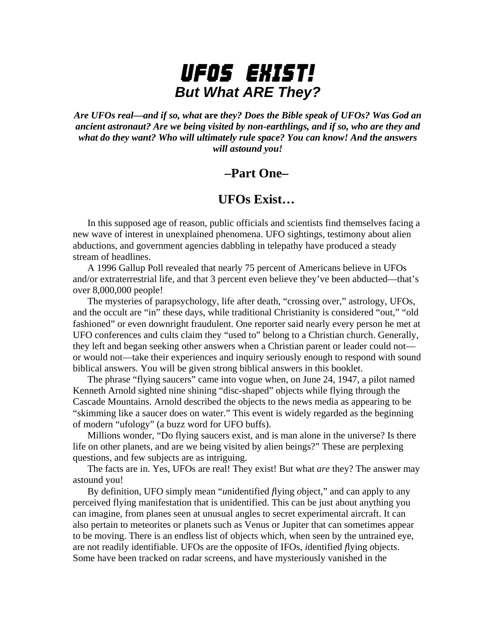# UFOs Exist! *But What ARE They?*

*Are UFOs real—and if so, what* **are** *they? Does the Bible speak of UFOs? Was God an ancient astronaut? Are we being visited by non-earthlings, and if so, who are they and what do they want? Who will ultimately rule space? You can know! And the answers will astound you!* 

# **–Part One–**

## **UFOs Exist…**

 In this supposed age of reason, public officials and scientists find themselves facing a new wave of interest in unexplained phenomena. UFO sightings, testimony about alien abductions, and government agencies dabbling in telepathy have produced a steady stream of headlines.

 A 1996 Gallup Poll revealed that nearly 75 percent of Americans believe in UFOs and/or extraterrestrial life, and that 3 percent even believe they've been abducted—that's over 8,000,000 people!

 The mysteries of parapsychology, life after death, "crossing over," astrology, UFOs, and the occult are "in" these days, while traditional Christianity is considered "out," "old fashioned" or even downright fraudulent. One reporter said nearly every person he met at UFO conferences and cults claim they "used to" belong to a Christian church. Generally, they left and began seeking other answers when a Christian parent or leader could not or would not—take their experiences and inquiry seriously enough to respond with sound biblical answers. You will be given strong biblical answers in this booklet.

 The phrase "flying saucers" came into vogue when, on June 24, 1947, a pilot named Kenneth Arnold sighted nine shining "disc-shaped" objects while flying through the Cascade Mountains. Arnold described the objects to the news media as appearing to be "skimming like a saucer does on water." This event is widely regarded as the beginning of modern "ufology" (a buzz word for UFO buffs).

 Millions wonder, "Do flying saucers exist, and is man alone in the universe? Is there life on other planets, and are we being visited by alien beings?" These are perplexing questions, and few subjects are as intriguing.

 The facts are in. Yes, UFOs are real! They exist! But what *are* they? The answer may astound you!

 By definition, UFO simply mean "*u*nidentified *f*lying *o*bject," and can apply to any perceived flying manifestation that is unidentified. This can be just about anything you can imagine, from planes seen at unusual angles to secret experimental aircraft. It can also pertain to meteorites or planets such as Venus or Jupiter that can sometimes appear to be moving. There is an endless list of objects which, when seen by the untrained eye, are not readily identifiable. UFOs are the opposite of IFOs, *i*dentified *f*lying *o*bjects. Some have been tracked on radar screens, and have mysteriously vanished in the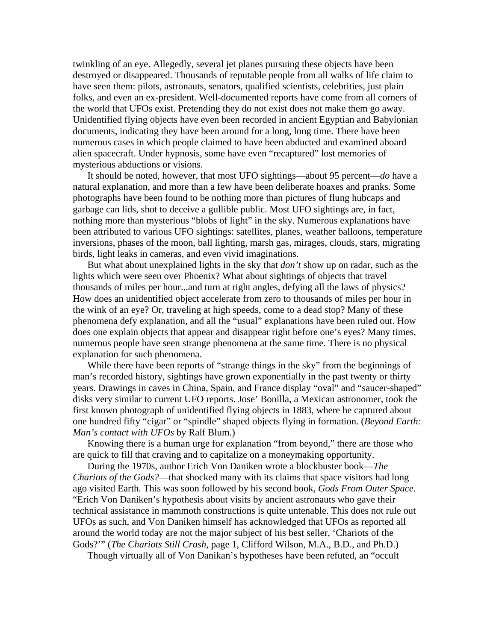twinkling of an eye. Allegedly, several jet planes pursuing these objects have been destroyed or disappeared. Thousands of reputable people from all walks of life claim to have seen them: pilots, astronauts, senators, qualified scientists, celebrities, just plain folks, and even an ex-president. Well-documented reports have come from all corners of the world that UFOs exist. Pretending they do not exist does not make them go away. Unidentified flying objects have even been recorded in ancient Egyptian and Babylonian documents, indicating they have been around for a long, long time. There have been numerous cases in which people claimed to have been abducted and examined aboard alien spacecraft. Under hypnosis, some have even "recaptured" lost memories of mysterious abductions or visions.

 It should be noted, however, that most UFO sightings—about 95 percent—*do* have a natural explanation, and more than a few have been deliberate hoaxes and pranks. Some photographs have been found to be nothing more than pictures of flung hubcaps and garbage can lids, shot to deceive a gullible public. Most UFO sightings are, in fact, nothing more than mysterious "blobs of light" in the sky. Numerous explanations have been attributed to various UFO sightings: satellites, planes, weather balloons, temperature inversions, phases of the moon, ball lighting, marsh gas, mirages, clouds, stars, migrating birds, light leaks in cameras, and even vivid imaginations.

 But what about unexplained lights in the sky that *don't* show up on radar, such as the lights which were seen over Phoenix? What about sightings of objects that travel thousands of miles per hour...and turn at right angles, defying all the laws of physics? How does an unidentified object accelerate from zero to thousands of miles per hour in the wink of an eye? Or, traveling at high speeds, come to a dead stop? Many of these phenomena defy explanation, and all the "usual" explanations have been ruled out. How does one explain objects that appear and disappear right before one's eyes? Many times, numerous people have seen strange phenomena at the same time. There is no physical explanation for such phenomena.

While there have been reports of "strange things in the sky" from the beginnings of man's recorded history, sightings have grown exponentially in the past twenty or thirty years. Drawings in caves in China, Spain, and France display "oval" and "saucer-shaped" disks very similar to current UFO reports. Jose' Bonilla, a Mexican astronomer, took the first known photograph of unidentified flying objects in 1883, where he captured about one hundred fifty "cigar" or "spindle" shaped objects flying in formation. (*Beyond Earth: Man's contact with UFOs* by Ralf Blum.)

 Knowing there is a human urge for explanation "from beyond," there are those who are quick to fill that craving and to capitalize on a moneymaking opportunity.

 During the 1970s, author Erich Von Daniken wrote a blockbuster book—*The Chariots of the Gods?*—that shocked many with its claims that space visitors had long ago visited Earth. This was soon followed by his second book, *Gods From Outer Space.* "Erich Von Daniken's hypothesis about visits by ancient astronauts who gave their technical assistance in mammoth constructions is quite untenable. This does not rule out UFOs as such, and Von Daniken himself has acknowledged that UFOs as reported all around the world today are not the major subject of his best seller, 'Chariots of the Gods?'" (*The Chariots Still Crash,* page 1, Clifford Wilson, M.A., B.D., and Ph.D.)

Though virtually all of Von Danikan's hypotheses have been refuted, an "occult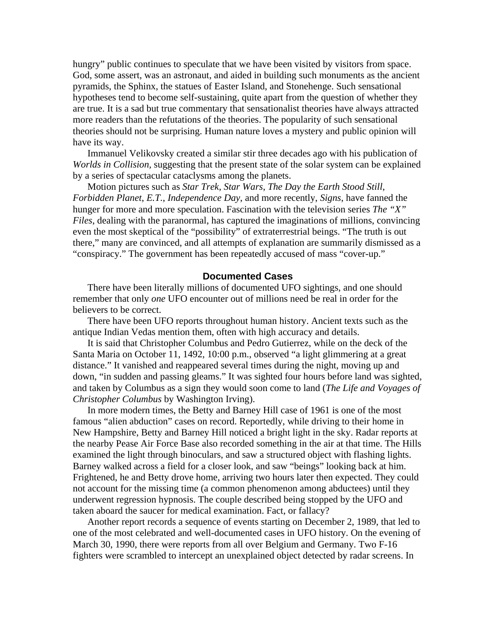hungry" public continues to speculate that we have been visited by visitors from space. God, some assert, was an astronaut, and aided in building such monuments as the ancient pyramids, the Sphinx, the statues of Easter Island, and Stonehenge. Such sensational hypotheses tend to become self-sustaining, quite apart from the question of whether they are true. It is a sad but true commentary that sensationalist theories have always attracted more readers than the refutations of the theories. The popularity of such sensational theories should not be surprising. Human nature loves a mystery and public opinion will have its way.

 Immanuel Velikovsky created a similar stir three decades ago with his publication of *Worlds in Collision,* suggesting that the present state of the solar system can be explained by a series of spectacular cataclysms among the planets.

 Motion pictures such as *Star Trek*, *Star Wars*, *The Day the Earth Stood Still*, *Forbidden Planet*, *E.T.*, *Independence Day*, and more recently, *Signs*, have fanned the hunger for more and more speculation. Fascination with the television series *The "X" Files*, dealing with the paranormal, has captured the imaginations of millions, convincing even the most skeptical of the "possibility" of extraterrestrial beings. "The truth is out there," many are convinced, and all attempts of explanation are summarily dismissed as a "conspiracy." The government has been repeatedly accused of mass "cover-up."

#### **Documented Cases**

There have been literally millions of documented UFO sightings, and one should remember that only *one* UFO encounter out of millions need be real in order for the believers to be correct.

 There have been UFO reports throughout human history. Ancient texts such as the antique Indian Vedas mention them, often with high accuracy and details.

 It is said that Christopher Columbus and Pedro Gutierrez, while on the deck of the Santa Maria on October 11, 1492, 10:00 p.m., observed "a light glimmering at a great distance." It vanished and reappeared several times during the night, moving up and down, "in sudden and passing gleams." It was sighted four hours before land was sighted, and taken by Columbus as a sign they would soon come to land (*The Life and Voyages of Christopher Columbus* by Washington Irving).

 In more modern times, the Betty and Barney Hill case of 1961 is one of the most famous "alien abduction" cases on record. Reportedly, while driving to their home in New Hampshire, Betty and Barney Hill noticed a bright light in the sky. Radar reports at the nearby Pease Air Force Base also recorded something in the air at that time. The Hills examined the light through binoculars, and saw a structured object with flashing lights. Barney walked across a field for a closer look, and saw "beings" looking back at him. Frightened, he and Betty drove home, arriving two hours later then expected. They could not account for the missing time (a common phenomenon among abductees) until they underwent regression hypnosis. The couple described being stopped by the UFO and taken aboard the saucer for medical examination. Fact, or fallacy?

 Another report records a sequence of events starting on December 2, 1989, that led to one of the most celebrated and well-documented cases in UFO history. On the evening of March 30, 1990, there were reports from all over Belgium and Germany. Two F-16 fighters were scrambled to intercept an unexplained object detected by radar screens. In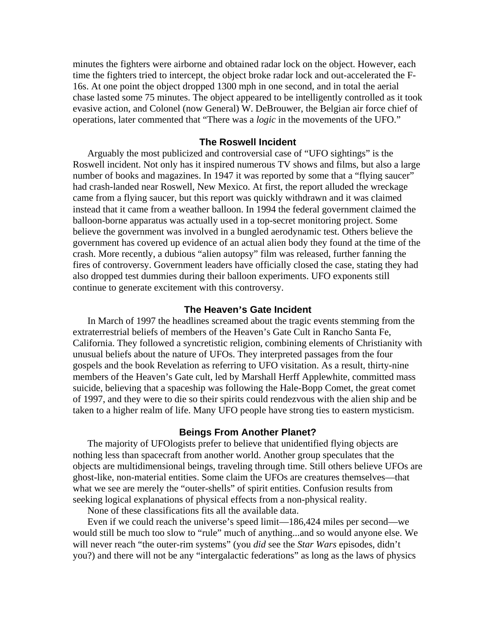minutes the fighters were airborne and obtained radar lock on the object. However, each time the fighters tried to intercept, the object broke radar lock and out-accelerated the F-16s. At one point the object dropped 1300 mph in one second, and in total the aerial chase lasted some 75 minutes. The object appeared to be intelligently controlled as it took evasive action, and Colonel (now General) W. DeBrouwer, the Belgian air force chief of operations, later commented that "There was a *logic* in the movements of the UFO."

#### **The Roswell Incident**

Arguably the most publicized and controversial case of "UFO sightings" is the Roswell incident. Not only has it inspired numerous TV shows and films, but also a large number of books and magazines. In 1947 it was reported by some that a "flying saucer" had crash-landed near Roswell, New Mexico. At first, the report alluded the wreckage came from a flying saucer, but this report was quickly withdrawn and it was claimed instead that it came from a weather balloon. In 1994 the federal government claimed the balloon-borne apparatus was actually used in a top-secret monitoring project. Some believe the government was involved in a bungled aerodynamic test. Others believe the government has covered up evidence of an actual alien body they found at the time of the crash. More recently, a dubious "alien autopsy" film was released, further fanning the fires of controversy. Government leaders have officially closed the case, stating they had also dropped test dummies during their balloon experiments. UFO exponents still continue to generate excitement with this controversy.

### **The Heaven's Gate Incident**

In March of 1997 the headlines screamed about the tragic events stemming from the extraterrestrial beliefs of members of the Heaven's Gate Cult in Rancho Santa Fe, California. They followed a syncretistic religion, combining elements of Christianity with unusual beliefs about the nature of UFOs. They interpreted passages from the four gospels and the book Revelation as referring to UFO visitation. As a result, thirty-nine members of the Heaven's Gate cult, led by Marshall Herff Applewhite, committed mass suicide, believing that a spaceship was following the Hale-Bopp Comet, the great comet of 1997, and they were to die so their spirits could rendezvous with the alien ship and be taken to a higher realm of life. Many UFO people have strong ties to eastern mysticism.

#### **Beings From Another Planet?**

The majority of UFOlogists prefer to believe that unidentified flying objects are nothing less than spacecraft from another world. Another group speculates that the objects are multidimensional beings, traveling through time. Still others believe UFOs are ghost-like, non-material entities. Some claim the UFOs are creatures themselves—that what we see are merely the "outer-shells" of spirit entities. Confusion results from seeking logical explanations of physical effects from a non-physical reality.

None of these classifications fits all the available data.

 Even if we could reach the universe's speed limit—186,424 miles per second—we would still be much too slow to "rule" much of anything...and so would anyone else. We will never reach "the outer-rim systems" (you *did* see the *Star Wars* episodes, didn't you?) and there will not be any "intergalactic federations" as long as the laws of physics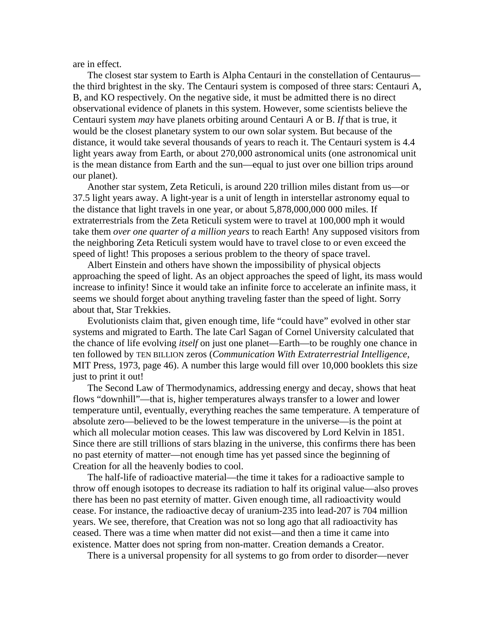are in effect.

 The closest star system to Earth is Alpha Centauri in the constellation of Centaurus the third brightest in the sky. The Centauri system is composed of three stars: Centauri A, B, and KO respectively. On the negative side, it must be admitted there is no direct observational evidence of planets in this system. However, some scientists believe the Centauri system *may* have planets orbiting around Centauri A or B. *If* that is true, it would be the closest planetary system to our own solar system. But because of the distance, it would take several thousands of years to reach it. The Centauri system is 4.4 light years away from Earth, or about 270,000 astronomical units (one astronomical unit is the mean distance from Earth and the sun—equal to just over one billion trips around our planet).

 Another star system, Zeta Reticuli, is around 220 trillion miles distant from us—or 37.5 light years away. A light-year is a unit of length in interstellar astronomy equal to the distance that light travels in one year, or about 5,878,000,000 000 miles. If extraterrestrials from the Zeta Reticuli system were to travel at 100,000 mph it would take them *over one quarter of a million years* to reach Earth! Any supposed visitors from the neighboring Zeta Reticuli system would have to travel close to or even exceed the speed of light! This proposes a serious problem to the theory of space travel.

 Albert Einstein and others have shown the impossibility of physical objects approaching the speed of light. As an object approaches the speed of light, its mass would increase to infinity! Since it would take an infinite force to accelerate an infinite mass, it seems we should forget about anything traveling faster than the speed of light. Sorry about that, Star Trekkies.

 Evolutionists claim that, given enough time, life "could have" evolved in other star systems and migrated to Earth. The late Carl Sagan of Cornel University calculated that the chance of life evolving *itself* on just one planet—Earth—to be roughly one chance in ten followed by TEN BILLION zeros (*Communication With Extraterrestrial Intelligence,*  MIT Press, 1973, page 46). A number this large would fill over 10,000 booklets this size just to print it out!

 The Second Law of Thermodynamics, addressing energy and decay, shows that heat flows "downhill"—that is, higher temperatures always transfer to a lower and lower temperature until, eventually, everything reaches the same temperature. A temperature of absolute zero—believed to be the lowest temperature in the universe—is the point at which all molecular motion ceases. This law was discovered by Lord Kelvin in 1851. Since there are still trillions of stars blazing in the universe, this confirms there has been no past eternity of matter—not enough time has yet passed since the beginning of Creation for all the heavenly bodies to cool.

 The half-life of radioactive material—the time it takes for a radioactive sample to throw off enough isotopes to decrease its radiation to half its original value—also proves there has been no past eternity of matter. Given enough time, all radioactivity would cease. For instance, the radioactive decay of uranium-235 into lead-207 is 704 million years. We see, therefore, that Creation was not so long ago that all radioactivity has ceased. There was a time when matter did not exist—and then a time it came into existence. Matter does not spring from non-matter. Creation demands a Creator.

There is a universal propensity for all systems to go from order to disorder—never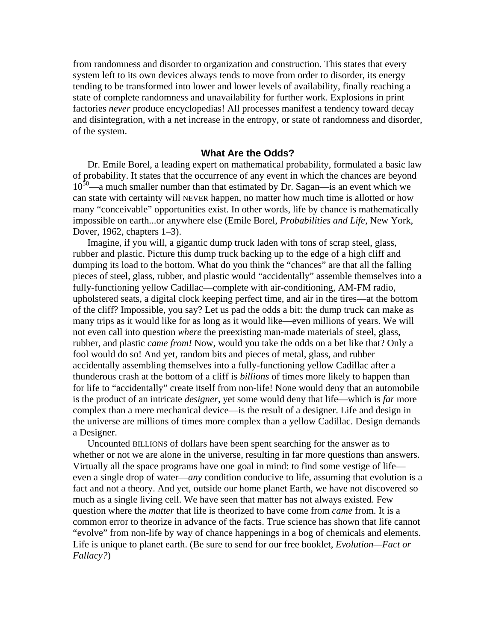from randomness and disorder to organization and construction. This states that every system left to its own devices always tends to move from order to disorder, its energy tending to be transformed into lower and lower levels of availability, finally reaching a state of complete randomness and unavailability for further work. Explosions in print factories *never* produce encyclopedias! All processes manifest a tendency toward decay and disintegration, with a net increase in the entropy, or state of randomness and disorder, of the system.

### **What Are the Odds?**

Dr. Emile Borel, a leading expert on mathematical probability, formulated a basic law of probability. It states that the occurrence of any event in which the chances are beyond  $10<sup>50</sup>$ —a much smaller number than that estimated by Dr. Sagan—is an event which we can state with certainty will NEVER happen, no matter how much time is allotted or how many "conceivable" opportunities exist. In other words, life by chance is mathematically impossible on earth...or anywhere else (Emile Borel, *Probabilities and Life*, New York, Dover, 1962, chapters 1–3).

 Imagine, if you will, a gigantic dump truck laden with tons of scrap steel, glass, rubber and plastic. Picture this dump truck backing up to the edge of a high cliff and dumping its load to the bottom. What do you think the "chances" are that all the falling pieces of steel, glass, rubber, and plastic would "accidentally" assemble themselves into a fully-functioning yellow Cadillac—complete with air-conditioning, AM-FM radio, upholstered seats, a digital clock keeping perfect time, and air in the tires—at the bottom of the cliff? Impossible, you say? Let us pad the odds a bit: the dump truck can make as many trips as it would like for as long as it would like—even millions of years. We will not even call into question *where* the preexisting man-made materials of steel, glass, rubber, and plastic *came from!* Now, would you take the odds on a bet like that? Only a fool would do so! And yet, random bits and pieces of metal, glass, and rubber accidentally assembling themselves into a fully-functioning yellow Cadillac after a thunderous crash at the bottom of a cliff is *billions* of times more likely to happen than for life to "accidentally" create itself from non-life! None would deny that an automobile is the product of an intricate *designer*, yet some would deny that life—which is *far* more complex than a mere mechanical device—is the result of a designer. Life and design in the universe are millions of times more complex than a yellow Cadillac. Design demands a Designer.

 Uncounted BILLIONS of dollars have been spent searching for the answer as to whether or not we are alone in the universe, resulting in far more questions than answers. Virtually all the space programs have one goal in mind: to find some vestige of life even a single drop of water—*any* condition conducive to life, assuming that evolution is a fact and not a theory. And yet, outside our home planet Earth, we have not discovered so much as a single living cell. We have seen that matter has not always existed. Few question where the *matter* that life is theorized to have come from *came* from. It is a common error to theorize in advance of the facts. True science has shown that life cannot "evolve" from non-life by way of chance happenings in a bog of chemicals and elements. Life is unique to planet earth. (Be sure to send for our free booklet, *Evolution—Fact or Fallacy?*)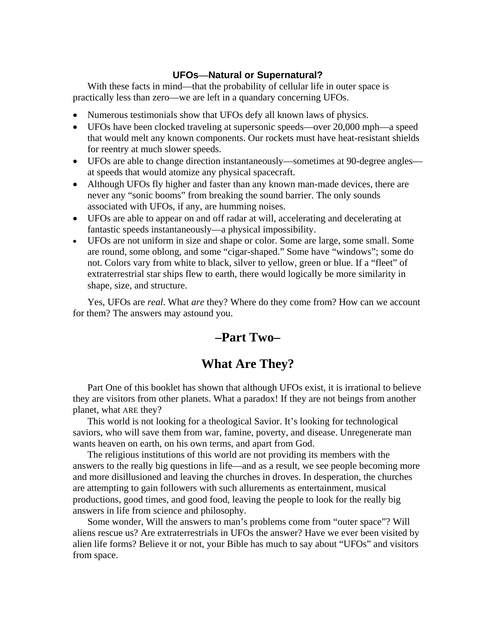### **UFOs—Natural or Supernatural?**

With these facts in mind—that the probability of cellular life in outer space is practically less than zero—we are left in a quandary concerning UFOs.

- Numerous testimonials show that UFOs defy all known laws of physics.
- UFOs have been clocked traveling at supersonic speeds—over 20,000 mph—a speed that would melt any known components. Our rockets must have heat-resistant shields for reentry at much slower speeds.
- UFOs are able to change direction instantaneously—sometimes at 90-degree angles at speeds that would atomize any physical spacecraft.
- Although UFOs fly higher and faster than any known man-made devices, there are never any "sonic booms" from breaking the sound barrier. The only sounds associated with UFOs, if any, are humming noises.
- UFOs are able to appear on and off radar at will, accelerating and decelerating at fantastic speeds instantaneously—a physical impossibility.
- UFOs are not uniform in size and shape or color. Some are large, some small. Some are round, some oblong, and some "cigar-shaped." Some have "windows"; some do not. Colors vary from white to black, silver to yellow, green or blue. If a "fleet" of extraterrestrial star ships flew to earth, there would logically be more similarity in shape, size, and structure.

 Yes, UFOs are *real*. What *are* they? Where do they come from? How can we account for them? The answers may astound you.

# **–Part Two–**

# **What Are They?**

 Part One of this booklet has shown that although UFOs exist, it is irrational to believe they are visitors from other planets. What a paradox! If they are not beings from another planet, what ARE they?

 This world is not looking for a theological Savior. It's looking for technological saviors, who will save them from war, famine, poverty, and disease. Unregenerate man wants heaven on earth, on his own terms, and apart from God.

 The religious institutions of this world are not providing its members with the answers to the really big questions in life—and as a result, we see people becoming more and more disillusioned and leaving the churches in droves. In desperation, the churches are attempting to gain followers with such allurements as entertainment, musical productions, good times, and good food, leaving the people to look for the really big answers in life from science and philosophy.

 Some wonder, Will the answers to man's problems come from "outer space"? Will aliens rescue us? Are extraterrestrials in UFOs the answer? Have we ever been visited by alien life forms? Believe it or not, your Bible has much to say about "UFOs" and visitors from space.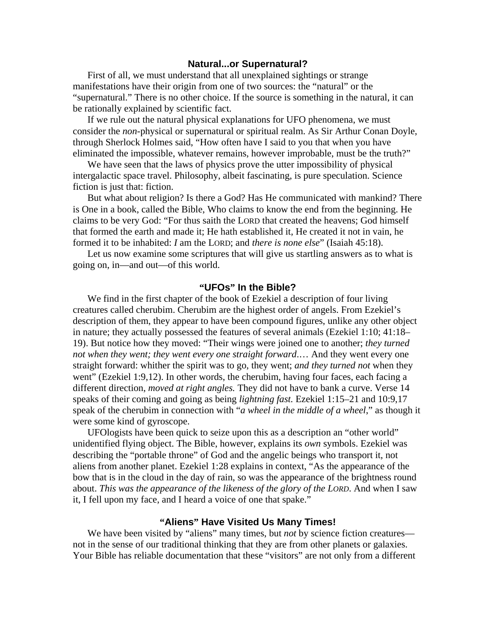### **Natural...or Supernatural?**

First of all, we must understand that all unexplained sightings or strange manifestations have their origin from one of two sources: the "natural" or the "supernatural." There is no other choice. If the source is something in the natural, it can be rationally explained by scientific fact.

 If we rule out the natural physical explanations for UFO phenomena, we must consider the *non*-physical or supernatural or spiritual realm. As Sir Arthur Conan Doyle, through Sherlock Holmes said, "How often have I said to you that when you have eliminated the impossible, whatever remains, however improbable, must be the truth?"

 We have seen that the laws of physics prove the utter impossibility of physical intergalactic space travel. Philosophy, albeit fascinating, is pure speculation. Science fiction is just that: fiction.

 But what about religion? Is there a God? Has He communicated with mankind? There is One in a book, called the Bible, Who claims to know the end from the beginning. He claims to be very God: "For thus saith the LORD that created the heavens; God himself that formed the earth and made it; He hath established it, He created it not in vain, he formed it to be inhabited: *I* am the LORD; and *there is none else*" (Isaiah 45:18).

 Let us now examine some scriptures that will give us startling answers as to what is going on, in—and out—of this world.

#### **"UFOs" In the Bible?**

We find in the first chapter of the book of Ezekiel a description of four living creatures called cherubim. Cherubim are the highest order of angels. From Ezekiel's description of them, they appear to have been compound figures, unlike any other object in nature; they actually possessed the features of several animals (Ezekiel 1:10; 41:18– 19). But notice how they moved: "Their wings were joined one to another; *they turned not when they went; they went every one straight forward*.… And they went every one straight forward: whither the spirit was to go, they went; *and they turned not* when they went" (Ezekiel 1:9,12). In other words, the cherubim, having four faces, each facing a different direction, *moved at right angles.* They did not have to bank a curve. Verse 14 speaks of their coming and going as being *lightning fast.* Ezekiel 1:15–21 and 10:9,17 speak of the cherubim in connection with "*a wheel in the middle of a wheel*," as though it were some kind of gyroscope.

 UFOlogists have been quick to seize upon this as a description an "other world" unidentified flying object. The Bible, however, explains its *own* symbols. Ezekiel was describing the "portable throne" of God and the angelic beings who transport it, not aliens from another planet. Ezekiel 1:28 explains in context, "As the appearance of the bow that is in the cloud in the day of rain, so was the appearance of the brightness round about. *This was the appearance of the likeness of the glory of the LORD*. And when I saw it, I fell upon my face, and I heard a voice of one that spake."

### **"Aliens" Have Visited Us Many Times!**

We have been visited by "aliens" many times, but *not* by science fiction creatures not in the sense of our traditional thinking that they are from other planets or galaxies. Your Bible has reliable documentation that these "visitors" are not only from a different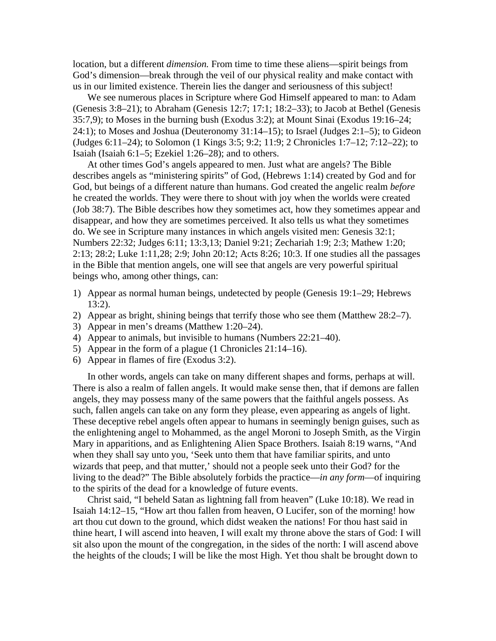location, but a different *dimension.* From time to time these aliens—spirit beings from God's dimension—break through the veil of our physical reality and make contact with us in our limited existence. Therein lies the danger and seriousness of this subject!

 We see numerous places in Scripture where God Himself appeared to man: to Adam (Genesis 3:8–21); to Abraham (Genesis 12:7; 17:1; 18:2–33); to Jacob at Bethel (Genesis 35:7,9); to Moses in the burning bush (Exodus 3:2); at Mount Sinai (Exodus 19:16–24; 24:1); to Moses and Joshua (Deuteronomy 31:14–15); to Israel (Judges 2:1–5); to Gideon (Judges 6:11–24); to Solomon (1 Kings 3:5; 9:2; 11:9; 2 Chronicles 1:7–12; 7:12–22); to Isaiah (Isaiah 6:1–5; Ezekiel 1:26–28); and to others.

 At other times God's angels appeared to men. Just what are angels? The Bible describes angels as "ministering spirits" of God, (Hebrews 1:14) created by God and for God, but beings of a different nature than humans. God created the angelic realm *before* he created the worlds. They were there to shout with joy when the worlds were created (Job 38:7). The Bible describes how they sometimes act, how they sometimes appear and disappear, and how they are sometimes perceived. It also tells us what they sometimes do. We see in Scripture many instances in which angels visited men: Genesis 32:1; Numbers 22:32; Judges 6:11; 13:3,13; Daniel 9:21; Zechariah 1:9; 2:3; Mathew 1:20; 2:13; 28:2; Luke 1:11,28; 2:9; John 20:12; Acts 8:26; 10:3. If one studies all the passages in the Bible that mention angels, one will see that angels are very powerful spiritual beings who, among other things, can:

- 1) Appear as normal human beings, undetected by people (Genesis 19:1–29; Hebrews 13:2).
- 2) Appear as bright, shining beings that terrify those who see them (Matthew 28:2–7).
- 3) Appear in men's dreams (Matthew 1:20–24).
- 4) Appear to animals, but invisible to humans (Numbers 22:21–40).
- 5) Appear in the form of a plague (1 Chronicles 21:14–16).
- 6) Appear in flames of fire (Exodus 3:2).

 In other words, angels can take on many different shapes and forms, perhaps at will. There is also a realm of fallen angels. It would make sense then, that if demons are fallen angels, they may possess many of the same powers that the faithful angels possess. As such, fallen angels can take on any form they please, even appearing as angels of light. These deceptive rebel angels often appear to humans in seemingly benign guises, such as the enlightening angel to Mohammed, as the angel Moroni to Joseph Smith, as the Virgin Mary in apparitions, and as Enlightening Alien Space Brothers. Isaiah 8:19 warns, "And when they shall say unto you, 'Seek unto them that have familiar spirits, and unto wizards that peep, and that mutter,' should not a people seek unto their God? for the living to the dead?" The Bible absolutely forbids the practice—*in any form*—of inquiring to the spirits of the dead for a knowledge of future events.

 Christ said, "I beheld Satan as lightning fall from heaven" (Luke 10:18). We read in Isaiah 14:12–15, "How art thou fallen from heaven, O Lucifer, son of the morning! how art thou cut down to the ground, which didst weaken the nations! For thou hast said in thine heart, I will ascend into heaven, I will exalt my throne above the stars of God: I will sit also upon the mount of the congregation, in the sides of the north: I will ascend above the heights of the clouds; I will be like the most High. Yet thou shalt be brought down to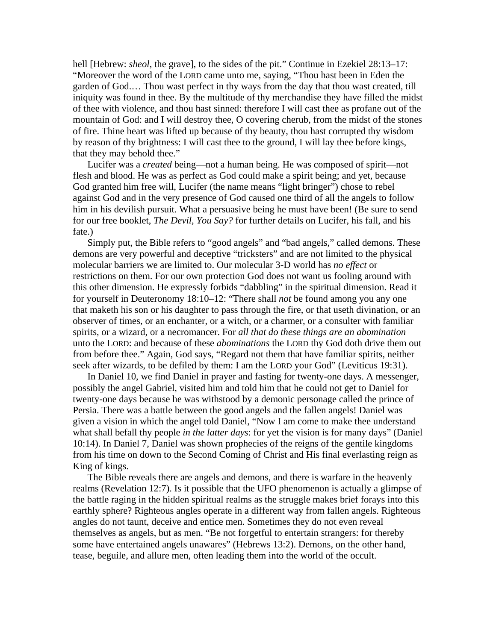hell [Hebrew: *sheol*, the grave], to the sides of the pit." Continue in Ezekiel 28:13–17: "Moreover the word of the LORD came unto me, saying, "Thou hast been in Eden the garden of God.… Thou wast perfect in thy ways from the day that thou wast created, till iniquity was found in thee. By the multitude of thy merchandise they have filled the midst of thee with violence, and thou hast sinned: therefore I will cast thee as profane out of the mountain of God: and I will destroy thee, O covering cherub, from the midst of the stones of fire. Thine heart was lifted up because of thy beauty, thou hast corrupted thy wisdom by reason of thy brightness: I will cast thee to the ground, I will lay thee before kings, that they may behold thee."

 Lucifer was a *created* being—not a human being. He was composed of spirit—not flesh and blood. He was as perfect as God could make a spirit being; and yet, because God granted him free will, Lucifer (the name means "light bringer") chose to rebel against God and in the very presence of God caused one third of all the angels to follow him in his devilish pursuit. What a persuasive being he must have been! (Be sure to send for our free booklet, *The Devil, You Say?* for further details on Lucifer, his fall, and his fate.)

 Simply put, the Bible refers to "good angels" and "bad angels," called demons. These demons are very powerful and deceptive "tricksters" and are not limited to the physical molecular barriers we are limited to. Our molecular 3-D world has *no effect* or restrictions on them. For our own protection God does not want us fooling around with this other dimension. He expressly forbids "dabbling" in the spiritual dimension. Read it for yourself in Deuteronomy 18:10–12: "There shall *not* be found among you any one that maketh his son or his daughter to pass through the fire, or that useth divination, or an observer of times, or an enchanter, or a witch, or a charmer, or a consulter with familiar spirits, or a wizard, or a necromancer. For *all that do these things are an abomination* unto the LORD: and because of these *abominations* the LORD thy God doth drive them out from before thee." Again, God says, "Regard not them that have familiar spirits, neither seek after wizards, to be defiled by them: I am the LORD your God" (Leviticus 19:31).

 In Daniel 10, we find Daniel in prayer and fasting for twenty-one days. A messenger, possibly the angel Gabriel, visited him and told him that he could not get to Daniel for twenty-one days because he was withstood by a demonic personage called the prince of Persia. There was a battle between the good angels and the fallen angels! Daniel was given a vision in which the angel told Daniel, "Now I am come to make thee understand what shall befall thy people *in the latter days*: for yet the vision is for many days" (Daniel 10:14). In Daniel 7, Daniel was shown prophecies of the reigns of the gentile kingdoms from his time on down to the Second Coming of Christ and His final everlasting reign as King of kings.

 The Bible reveals there are angels and demons, and there is warfare in the heavenly realms (Revelation 12:7). Is it possible that the UFO phenomenon is actually a glimpse of the battle raging in the hidden spiritual realms as the struggle makes brief forays into this earthly sphere? Righteous angles operate in a different way from fallen angels. Righteous angles do not taunt, deceive and entice men. Sometimes they do not even reveal themselves as angels, but as men. "Be not forgetful to entertain strangers: for thereby some have entertained angels unawares" (Hebrews 13:2). Demons, on the other hand, tease, beguile, and allure men, often leading them into the world of the occult.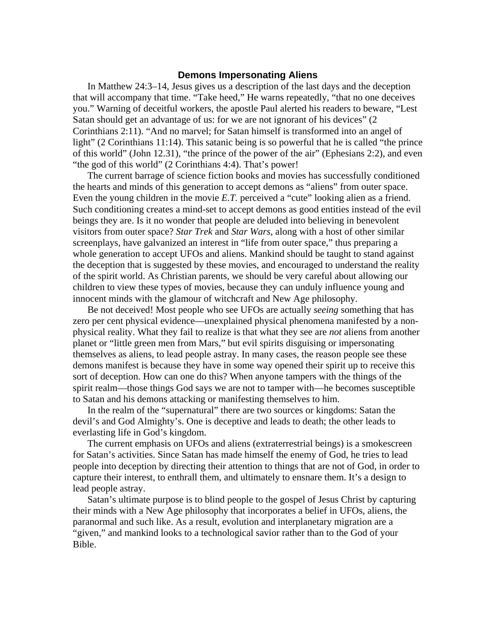### **Demons Impersonating Aliens**

 In Matthew 24:3–14, Jesus gives us a description of the last days and the deception that will accompany that time. "Take heed," He warns repeatedly, "that no one deceives you." Warning of deceitful workers, the apostle Paul alerted his readers to beware, "Lest Satan should get an advantage of us: for we are not ignorant of his devices" (2 Corinthians 2:11). "And no marvel; for Satan himself is transformed into an angel of light" (2 Corinthians 11:14). This satanic being is so powerful that he is called "the prince" of this world" (John 12.31), "the prince of the power of the air" (Ephesians 2:2), and even "the god of this world" (2 Corinthians 4:4). That's power!

 The current barrage of science fiction books and movies has successfully conditioned the hearts and minds of this generation to accept demons as "aliens" from outer space. Even the young children in the movie *E.T.* perceived a "cute" looking alien as a friend. Such conditioning creates a mind-set to accept demons as good entities instead of the evil beings they are. Is it no wonder that people are deluded into believing in benevolent visitors from outer space? *Star Trek* and *Star Wars*, along with a host of other similar screenplays, have galvanized an interest in "life from outer space," thus preparing a whole generation to accept UFOs and aliens. Mankind should be taught to stand against the deception that is suggested by these movies, and encouraged to understand the reality of the spirit world. As Christian parents, we should be very careful about allowing our children to view these types of movies, because they can unduly influence young and innocent minds with the glamour of witchcraft and New Age philosophy.

 Be not deceived! Most people who see UFOs are actually *seeing* something that has zero per cent physical evidence—unexplained physical phenomena manifested by a nonphysical reality. What they fail to realize is that what they see are *not* aliens from another planet or "little green men from Mars," but evil spirits disguising or impersonating themselves as aliens, to lead people astray. In many cases, the reason people see these demons manifest is because they have in some way opened their spirit up to receive this sort of deception. How can one do this? When anyone tampers with the things of the spirit realm—those things God says we are not to tamper with—he becomes susceptible to Satan and his demons attacking or manifesting themselves to him.

 In the realm of the "supernatural" there are two sources or kingdoms: Satan the devil's and God Almighty's. One is deceptive and leads to death; the other leads to everlasting life in God's kingdom.

 The current emphasis on UFOs and aliens (extraterrestrial beings) is a smokescreen for Satan's activities. Since Satan has made himself the enemy of God, he tries to lead people into deception by directing their attention to things that are not of God, in order to capture their interest, to enthrall them, and ultimately to ensnare them. It's a design to lead people astray.

 Satan's ultimate purpose is to blind people to the gospel of Jesus Christ by capturing their minds with a New Age philosophy that incorporates a belief in UFOs, aliens, the paranormal and such like. As a result, evolution and interplanetary migration are a "given," and mankind looks to a technological savior rather than to the God of your Bible.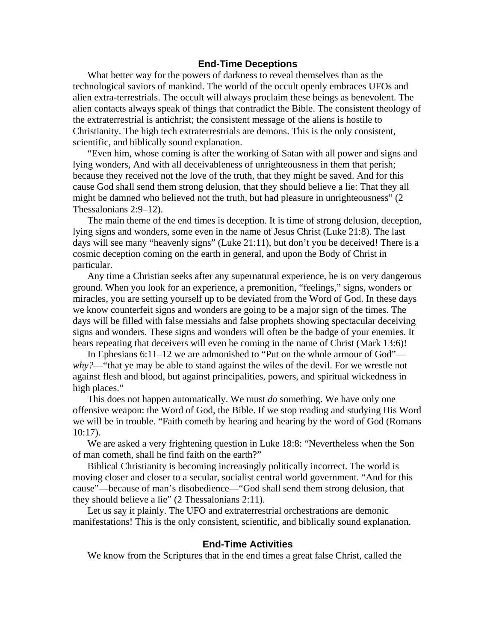### **End-Time Deceptions**

What better way for the powers of darkness to reveal themselves than as the technological saviors of mankind. The world of the occult openly embraces UFOs and alien extra-terrestrials. The occult will always proclaim these beings as benevolent. The alien contacts always speak of things that contradict the Bible. The consistent theology of the extraterrestrial is antichrist; the consistent message of the aliens is hostile to Christianity. The high tech extraterrestrials are demons. This is the only consistent, scientific, and biblically sound explanation.

 "Even him, whose coming is after the working of Satan with all power and signs and lying wonders, And with all deceivableness of unrighteousness in them that perish; because they received not the love of the truth, that they might be saved. And for this cause God shall send them strong delusion, that they should believe a lie: That they all might be damned who believed not the truth, but had pleasure in unrighteousness" (2 Thessalonians 2:9–12).

 The main theme of the end times is deception. It is time of strong delusion, deception, lying signs and wonders, some even in the name of Jesus Christ (Luke 21:8). The last days will see many "heavenly signs" (Luke 21:11), but don't you be deceived! There is a cosmic deception coming on the earth in general, and upon the Body of Christ in particular.

 Any time a Christian seeks after any supernatural experience, he is on very dangerous ground. When you look for an experience, a premonition, "feelings," signs, wonders or miracles, you are setting yourself up to be deviated from the Word of God. In these days we know counterfeit signs and wonders are going to be a major sign of the times. The days will be filled with false messiahs and false prophets showing spectacular deceiving signs and wonders. These signs and wonders will often be the badge of your enemies. It bears repeating that deceivers will even be coming in the name of Christ (Mark 13:6)!

 In Ephesians 6:11–12 we are admonished to "Put on the whole armour of God" *why?*—"that ye may be able to stand against the wiles of the devil. For we wrestle not against flesh and blood, but against principalities, powers, and spiritual wickedness in high places."

 This does not happen automatically. We must *do* something. We have only one offensive weapon: the Word of God, the Bible. If we stop reading and studying His Word we will be in trouble. "Faith cometh by hearing and hearing by the word of God (Romans 10:17).

 We are asked a very frightening question in Luke 18:8: "Nevertheless when the Son of man cometh, shall he find faith on the earth?"

 Biblical Christianity is becoming increasingly politically incorrect. The world is moving closer and closer to a secular, socialist central world government. "And for this cause"—because of man's disobedience—"God shall send them strong delusion, that they should believe a lie" (2 Thessalonians 2:11).

 Let us say it plainly. The UFO and extraterrestrial orchestrations are demonic manifestations! This is the only consistent, scientific, and biblically sound explanation.

### **End-Time Activities**

We know from the Scriptures that in the end times a great false Christ, called the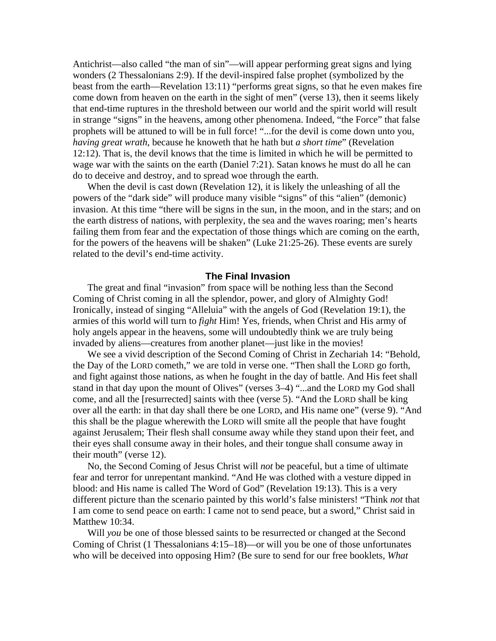Antichrist—also called "the man of sin"—will appear performing great signs and lying wonders (2 Thessalonians 2:9). If the devil-inspired false prophet (symbolized by the beast from the earth—Revelation 13:11) "performs great signs, so that he even makes fire come down from heaven on the earth in the sight of men" (verse 13), then it seems likely that end-time ruptures in the threshold between our world and the spirit world will result in strange "signs" in the heavens, among other phenomena. Indeed, "the Force" that false prophets will be attuned to will be in full force! "...for the devil is come down unto you, *having great wrath*, because he knoweth that he hath but *a short time*" (Revelation 12:12). That is, the devil knows that the time is limited in which he will be permitted to wage war with the saints on the earth (Daniel 7:21). Satan knows he must do all he can do to deceive and destroy, and to spread woe through the earth.

 When the devil is cast down (Revelation 12), it is likely the unleashing of all the powers of the "dark side" will produce many visible "signs" of this "alien" (demonic) invasion. At this time "there will be signs in the sun, in the moon, and in the stars; and on the earth distress of nations, with perplexity, the sea and the waves roaring; men's hearts failing them from fear and the expectation of those things which are coming on the earth, for the powers of the heavens will be shaken" (Luke 21:25-26). These events are surely related to the devil's end-time activity.

### **The Final Invasion**

The great and final "invasion" from space will be nothing less than the Second Coming of Christ coming in all the splendor, power, and glory of Almighty God! Ironically, instead of singing "Alleluia" with the angels of God (Revelation 19:1), the armies of this world will turn to *fight* Him! Yes, friends, when Christ and His army of holy angels appear in the heavens, some will undoubtedly think we are truly being invaded by aliens—creatures from another planet—just like in the movies!

 We see a vivid description of the Second Coming of Christ in Zechariah 14: "Behold, the Day of the LORD cometh," we are told in verse one. "Then shall the LORD go forth, and fight against those nations, as when he fought in the day of battle. And His feet shall stand in that day upon the mount of Olives" (verses 3–4) "...and the LORD my God shall come, and all the [resurrected] saints with thee (verse 5). "And the LORD shall be king over all the earth: in that day shall there be one LORD, and His name one" (verse 9). "And this shall be the plague wherewith the LORD will smite all the people that have fought against Jerusalem; Their flesh shall consume away while they stand upon their feet, and their eyes shall consume away in their holes, and their tongue shall consume away in their mouth" (verse 12).

 No, the Second Coming of Jesus Christ will *not* be peaceful, but a time of ultimate fear and terror for unrepentant mankind. "And He was clothed with a vesture dipped in blood: and His name is called The Word of God" (Revelation 19:13). This is a very different picture than the scenario painted by this world's false ministers! "Think *not* that I am come to send peace on earth: I came not to send peace, but a sword," Christ said in Matthew 10:34.

 Will *you* be one of those blessed saints to be resurrected or changed at the Second Coming of Christ  $(1)$  Thessalonians  $4:15-18$ —or will you be one of those unfortunates who will be deceived into opposing Him? (Be sure to send for our free booklets*, What*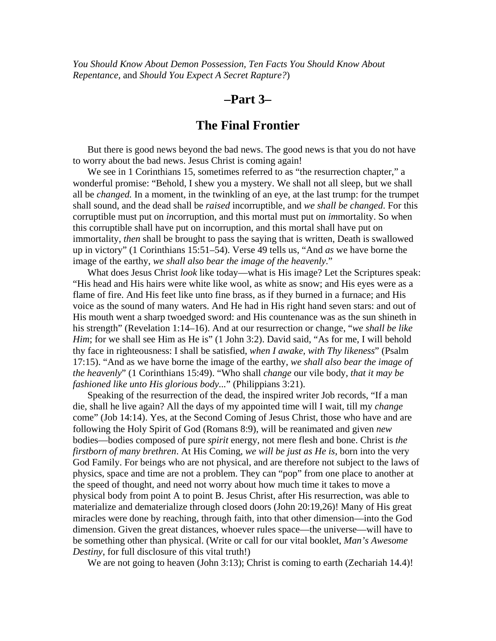*You Should Know About Demon Possession, Ten Facts You Should Know About Repentance,* and *Should You Expect A Secret Rapture?*)

### **–Part 3–**

### **The Final Frontier**

 But there is good news beyond the bad news. The good news is that you do not have to worry about the bad news. Jesus Christ is coming again!

 We see in 1 Corinthians 15, sometimes referred to as "the resurrection chapter," a wonderful promise: "Behold, I shew you a mystery. We shall not all sleep, but we shall all be *changed.* In a moment, in the twinkling of an eye, at the last trump: for the trumpet shall sound, and the dead shall be *raised* incorruptible, and *we shall be changed*. For this corruptible must put on *in*corruption, and this mortal must put on *im*mortality. So when this corruptible shall have put on incorruption, and this mortal shall have put on immortality, *then* shall be brought to pass the saying that is written, Death is swallowed up in victory" (1 Corinthians 15:51–54). Verse 49 tells us, "And *as* we have borne the image of the earthy, *we shall also bear the image of the heavenly*."

 What does Jesus Christ *look* like today—what is His image? Let the Scriptures speak: "His head and His hairs were white like wool, as white as snow; and His eyes were as a flame of fire. And His feet like unto fine brass, as if they burned in a furnace; and His voice as the sound of many waters. And He had in His right hand seven stars: and out of His mouth went a sharp twoedged sword: and His countenance was as the sun shineth in his strength" (Revelation 1:14–16). And at our resurrection or change, "*we shall be like Him*; for we shall see Him as He is" (1 John 3:2). David said, "As for me, I will behold thy face in righteousness: I shall be satisfied, *when I awake, with Thy likeness*" (Psalm 17:15). "And as we have borne the image of the earthy, *we shall also bear the image of the heavenly*" (1 Corinthians 15:49). "Who shall *change* our vile body, *that it may be fashioned like unto His glorious body...*" (Philippians 3:21).

 Speaking of the resurrection of the dead, the inspired writer Job records, "If a man die, shall he live again? All the days of my appointed time will I wait, till my *change* come" (Job 14:14). Yes, at the Second Coming of Jesus Christ, those who have and are following the Holy Spirit of God (Romans 8:9), will be reanimated and given *new* bodies—bodies composed of pure *spirit* energy, not mere flesh and bone. Christ is *the firstborn of many brethren*. At His Coming, *we will be just as He is*, born into the very God Family. For beings who are not physical, and are therefore not subject to the laws of physics, space and time are not a problem. They can "pop" from one place to another at the speed of thought, and need not worry about how much time it takes to move a physical body from point A to point B. Jesus Christ, after His resurrection, was able to materialize and dematerialize through closed doors (John 20:19,26)! Many of His great miracles were done by reaching, through faith, into that other dimension—into the God dimension. Given the great distances, whoever rules space—the universe—will have to be something other than physical. (Write or call for our vital booklet, *Man's Awesome Destiny*, for full disclosure of this vital truth!)

We are not going to heaven (John 3:13); Christ is coming to earth (Zechariah 14.4)!